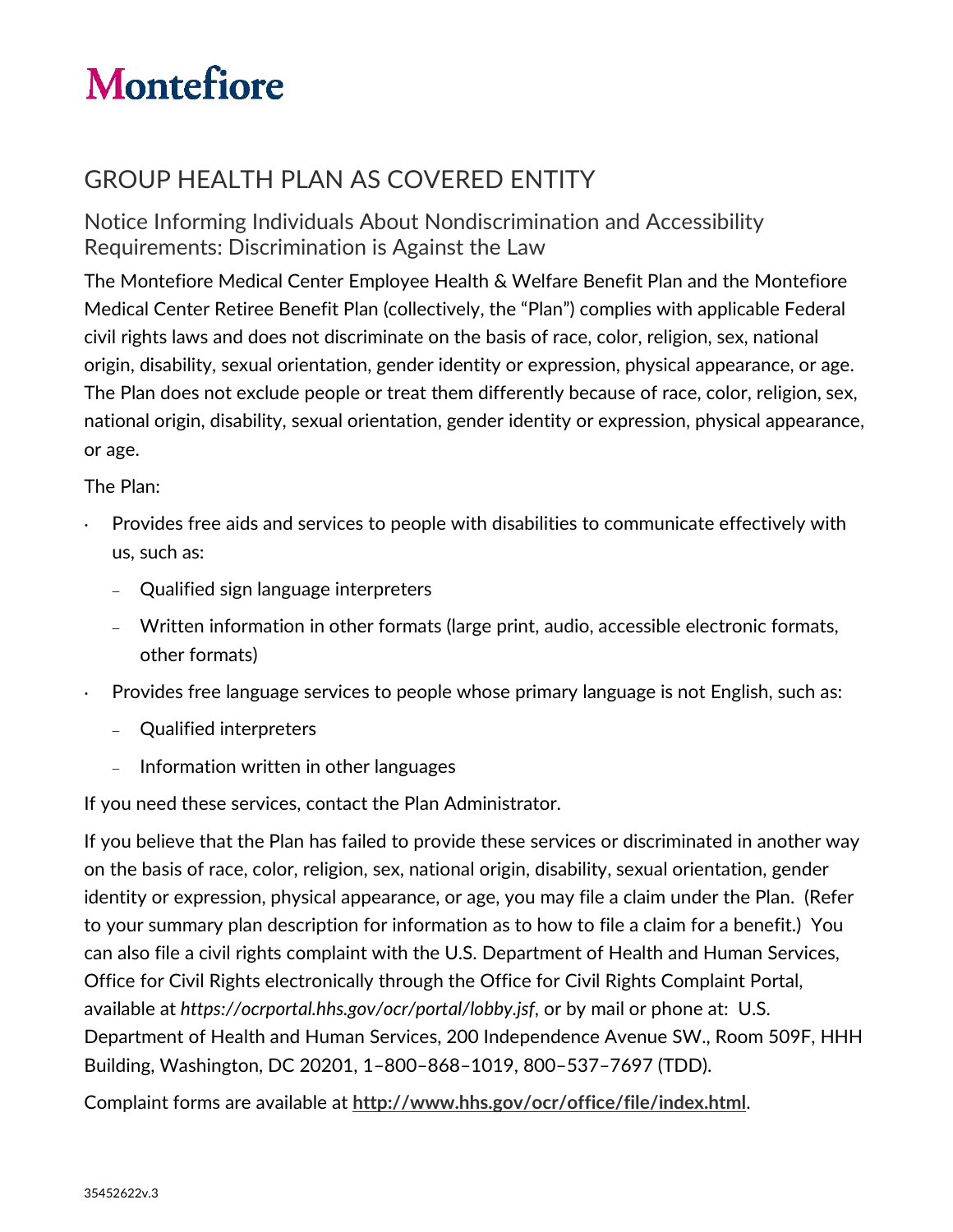## **Montefiore**

## GROUP HEALTH PLAN AS COVERED ENTITY

Notice Informing Individuals About Nondiscrimination and Accessibility Requirements: Discrimination is Against the Law

The Montefiore Medical Center Employee Health & Welfare Benefit Plan and the Montefiore Medical Center Retiree Benefit Plan (collectively, the "Plan") complies with applicable Federal civil rights laws and does not discriminate on the basis of race, color, religion, sex, national origin, disability, sexual orientation, gender identity or expression, physical appearance, or age. The Plan does not exclude people or treat them differently because of race, color, religion, sex, national origin, disability, sexual orientation, gender identity or expression, physical appearance, or age.

The Plan:

- Provides free aids and services to people with disabilities to communicate effectively with us, such as:
	- − Qualified sign language interpreters
	- − Written information in other formats (large print, audio, accessible electronic formats, other formats)
- Provides free language services to people whose primary language is not English, such as:
	- − Qualified interpreters
	- − Information written in other languages

If you need these services, contact the Plan Administrator.

If you believe that the Plan has failed to provide these services or discriminated in another way on the basis of race, color, religion, sex, national origin, disability, sexual orientation, gender identity or expression, physical appearance, or age, you may file a claim under the Plan. (Refer to your summary plan description for information as to how to file a claim for a benefit.) You can also file a civil rights complaint with the U.S. Department of Health and Human Services, Office for Civil Rights electronically through the Office for Civil Rights Complaint Portal, available at *https://ocrportal.hhs.gov/ocr/portal/lobby.jsf*, or by mail or phone at: U.S. Department of Health and Human Services, 200 Independence Avenue SW., Room 509F, HHH Building, Washington, DC 20201, 1–800–868–1019, 800–537–7697 (TDD).

Complaint forms are available at **http://www.hhs.gov/ocr/office/file/index.html**.